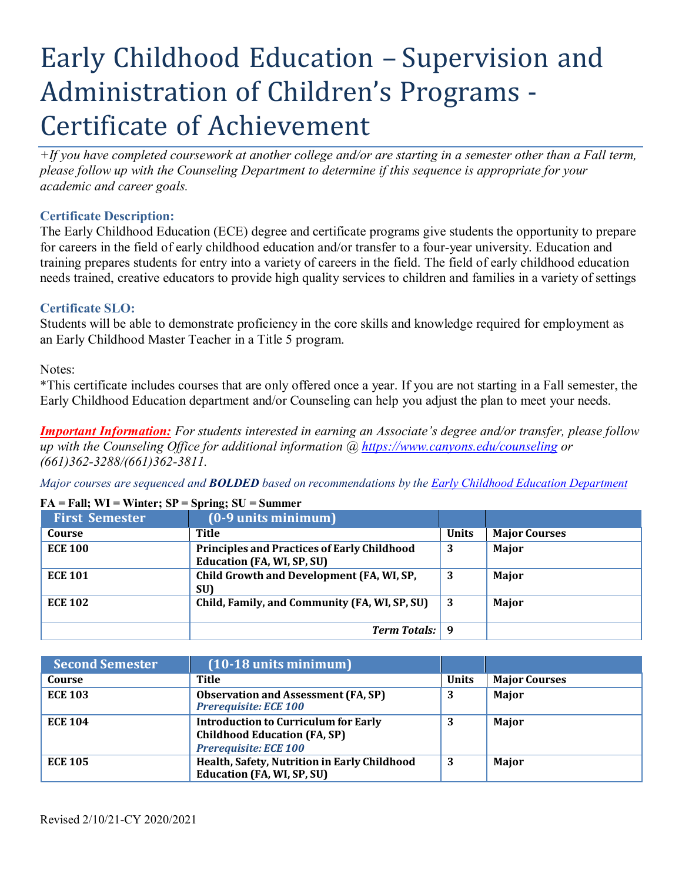# Early Childhood Education – Supervision and Administration of Children's Programs - Certificate of Achievement

*+If you have completed coursework at another college and/or are starting in a semester other than a Fall term, please follow up with the Counseling Department to determine if this sequence is appropriate for your academic and career goals.*

## **Certificate Description:**

The Early Childhood Education (ECE) degree and certificate programs give students the opportunity to prepare for careers in the field of early childhood education and/or transfer to a four-year university. Education and training prepares students for entry into a variety of careers in the field. The field of early childhood education needs trained, creative educators to provide high quality services to children and families in a variety of settings

### **Certificate SLO:**

Students will be able to demonstrate proficiency in the core skills and knowledge required for employment as an Early Childhood Master Teacher in a Title 5 program.

Notes:

\*This certificate includes courses that are only offered once a year. If you are not starting in a Fall semester, the Early Childhood Education department and/or Counseling can help you adjust the plan to meet your needs.

*Important Information: For students interested in earning an Associate's degree and/or transfer, please follow up with the Counseling Office for additional information @ https:/[/www.canyons.edu/counseling](http://www.canyons.edu/counseling) or (661)362-3288/(661)362-3811.*

*Major courses are sequenced and BOLDED based on recommendations by the Early Childhood Education Department*

| <b>First Semester</b> | $(0.9$ units minimum)                                                            |              |                      |
|-----------------------|----------------------------------------------------------------------------------|--------------|----------------------|
| Course                | Title                                                                            | <b>Units</b> | <b>Major Courses</b> |
| <b>ECE 100</b>        | <b>Principles and Practices of Early Childhood</b><br>Education (FA, WI, SP, SU) | 3            | Major                |
| <b>ECE 101</b>        | Child Growth and Development (FA, WI, SP,<br>SU)                                 | 3            | Major                |
| <b>ECE 102</b>        | Child, Family, and Community (FA, WI, SP, SU)                                    | 3            | Major                |
|                       | <b>Term Totals:</b> 9                                                            |              |                      |

#### **FA = Fall; WI = Winter; SP = Spring; SU = Summer**

| <b>Second Semester</b> | $(10-18$ units minimum)                                                                                            |              |                      |
|------------------------|--------------------------------------------------------------------------------------------------------------------|--------------|----------------------|
| Course                 | Title                                                                                                              | <b>Units</b> | <b>Major Courses</b> |
| <b>ECE 103</b>         | <b>Observation and Assessment (FA, SP)</b><br><b>Prerequisite: ECE 100</b>                                         | 3            | Major                |
| <b>ECE 104</b>         | <b>Introduction to Curriculum for Early</b><br><b>Childhood Education (FA, SP)</b><br><b>Prerequisite: ECE 100</b> | 3            | Major                |
| <b>ECE 105</b>         | Health, Safety, Nutrition in Early Childhood<br><b>Education (FA, WI, SP, SU)</b>                                  | 3            | Major                |